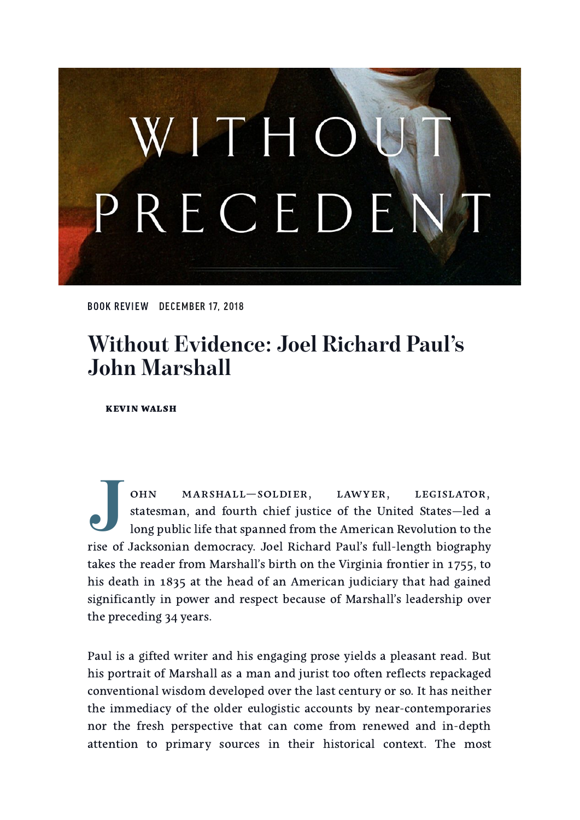# WITHO PRECEDEN

BOOK [REVIEW](https://lawliberty.org/book-reviews/) DECEMBER 17, 2018

# **Without Evidence: Joel Richard Paul's John Marshall**

**KEVIN WALSH** 

**J**<br> **J**<br> **d**<br> **d**<br> **d** OHN MARSHALL-SOLDIER, LAWYER, LEGISLATOR, statesman, and fourth chief justice of the United States—led a long public life that spanned from the American Revolution to the rise of Jacksonian democracy. Joel Richard Paul's full-length biography takes the reader from Marshall's birth on the Virginia frontier in 1755, to his death in 1835 at the head of an American judiciary that had gained significantly in power and respect because of Marshall's leadership over the preceding 34 years.

Paul is a gifted writer and his engaging prose yields a pleasant read. But his portrait of Marshall as a man and jurist too often reflects repackaged conventional wisdom developed over the last century or so. It has neither the immediacy of the older eulogistic accounts by near-contemporaries nor the fresh perspective that can come from renewed and in-depth attention to primary sources in their historical context. The most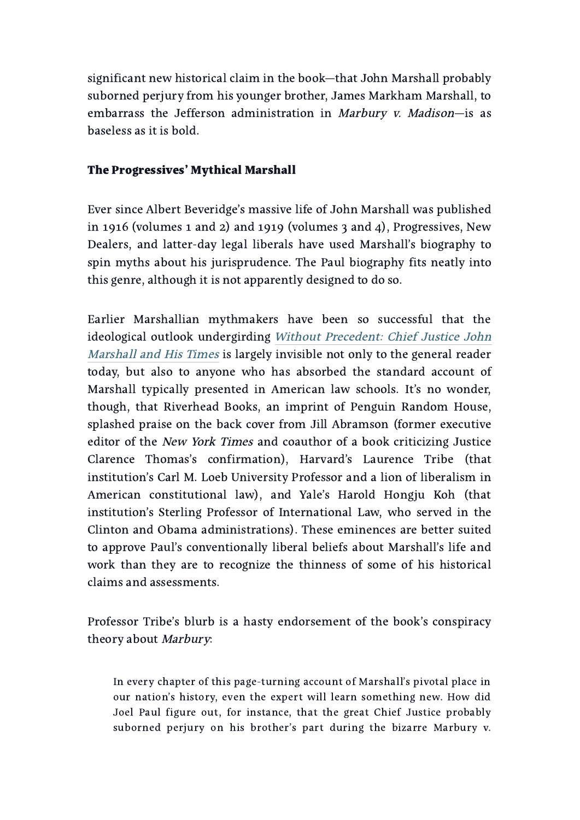significant new historical claim in the book—that John Marshall probably suborned perjury from his younger brother, James Markham Marshall, to embarrass the Jefferson administration in Marbury v. Madison-is as baseless as it is bold.

#### The Progressives' Mythical Marshall

Ever since Albert Beveridge's massive life of John Marshall was published in 1916 (volumes 1 and 2) and 1919 (volumes 3 and 4), Progressives, New Dealers, and latter-day legal liberals have used Marshall's biography to spin myths about his jurisprudence. The Paul biography fits neatly into this genre, although it is not apparently designed to do so.

Earlier Marshallian mythmakers have been so successful that the ideological outlook [undergirding](https://www.amazon.com/Without-Precedent-Chief-Justice-Marshall/dp/1594488231) Without Precedent: Chief Justice John Marshall and His Times is largely invisible not only to the general reader today, but also to anyone who has absorbed the standard account of Marshall typically presented in American law schools. It's no wonder, though, that Riverhead Books, an imprint of Penguin Random House, splashed praise on the back cover from Jill Abramson (former executive editor of the New York Times and coauthor of a book criticizing Justice Clarence Thomas's confirmation), Harvard's Laurence Tribe (that institution's Carl M. Loeb University Professor and a lion of liberalism in American constitutional law), and Yale's Harold Hongju Koh (that institution's Sterling Professor of International Law, who served in the Clinton and Obama administrations). These eminences are better suited to approve Paul's conventionally liberal beliefs about Marshall's life and work than they are to recognize the thinness of some of his historical claims and assessments.

Professor Tribe's blurb is a hasty endorsement of the book's conspiracy theory about Marbury:

In every chapter of this page-turning account of Marshall's pivotal place in our nation's history, even the expert will learn something new. How did Joel Paul figure out, for instance, that the great Chief Justice probably suborned perjury on his brother's part during the bizarre Marbury v.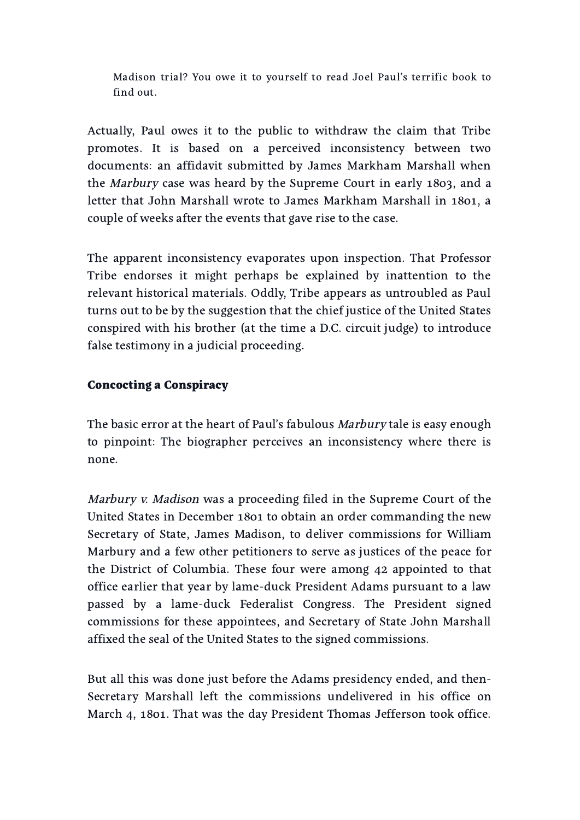Madison trial? You owe it to yourself to read Joel Paul's terrific book to find out.

Actually, Paul owes it to the public to withdraw the claim that Tribe promotes. It is based on a perceived inconsistency between two documents: an affidavit submitted by James Markham Marshall when the *Marbury* case was heard by the Supreme Court in early 1803, and a letter that John Marshall wrote to James Markham Marshall in 1801, a couple of weeks after the events that gave rise to the case.

The apparent inconsistency evaporates upon inspection. That Professor Tribe endorses it might perhaps be explained by inattention to the relevant historical materials. Oddly, Tribe appears as untroubled as Paul turns out to be by the suggestion that the chief justice of the United States conspired with his brother (at the time a D.C. circuit judge) to introduce false testimony in a judicial proceeding.

### Concocting a Conspiracy

The basic error at the heart of Paul's fabulous Marbury tale is easy enough to pinpoint: The biographer perceives an inconsistency where there is none.

Marbury v. Madison was a proceeding filed in the Supreme Court of the United States in December 1801 to obtain an order commanding the new Secretary of State, James Madison, to deliver commissions for William Marbury and a few other petitioners to serve as justices of the peace for the District of Columbia. These four were among 42 appointed to that office earlier that year by lame-duck President Adams pursuant to a law passed by a lame-duck Federalist Congress. The President signed commissions for these appointees, and Secretary of State John Marshall affixed the seal of the United States to the signed commissions.

But all this was done just before the Adams presidency ended, and then-Secretary Marshall left the commissions undelivered in his office on March 4, 1801. That was the day President Thomas Jefferson took office.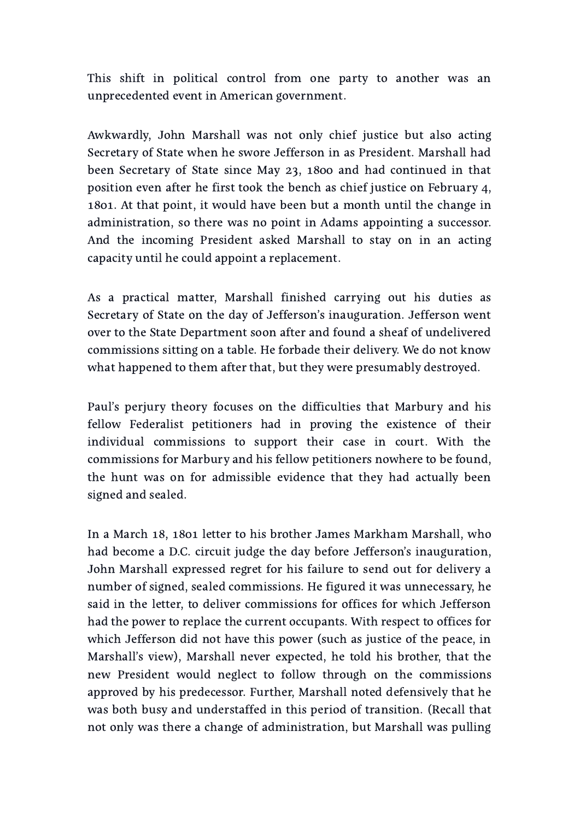This shift in political control from one party to another was an unprecedented event in American government.

Awkwardly, John Marshall was not only chief justice but also acting Secretary of State when he swore Jefferson in as President. Marshall had been Secretary of State since May 23, 1800 and had continued in that position even after he first took the bench as chief justice on February 4, . At that point, it would have been but a month until the change in administration, so there was no point in Adams appointing a successor. And the incoming President asked Marshall to stay on in an acting capacity until he could appoint a replacement.

As a practical matter, Marshall finished carrying out his duties as Secretary of State on the day of Jefferson's inauguration. Jefferson went over to the State Department soon after and found a sheaf of undelivered commissions sitting on a table. He forbade their delivery. We do not know what happened to them after that, but they were presumably destroyed.

Paul's perjury theory focuses on the difficulties that Marbury and his fellow Federalist petitioners had in proving the existence of their individual commissions to support their case in court. With the commissions for Marbury and his fellow petitioners nowhere to be found, the hunt was on for admissible evidence that they had actually been signed and sealed.

In a March 18, 1801 letter to his brother James Markham Marshall, who had become a D.C. circuit judge the day before Jefferson's inauguration, John Marshall expressed regret for his failure to send out for delivery a number of signed, sealed commissions. He figured it was unnecessary, he said in the letter, to deliver commissions for offices for which Jefferson had the power to replace the current occupants. With respect to offices for which Jefferson did not have this power (such as justice of the peace, in Marshall's view), Marshall never expected, he told his brother, that the new President would neglect to follow through on the commissions approved by his predecessor. Further, Marshall noted defensively that he was both busy and understaffed in this period of transition. (Recall that not only was there a change of administration, but Marshall was pulling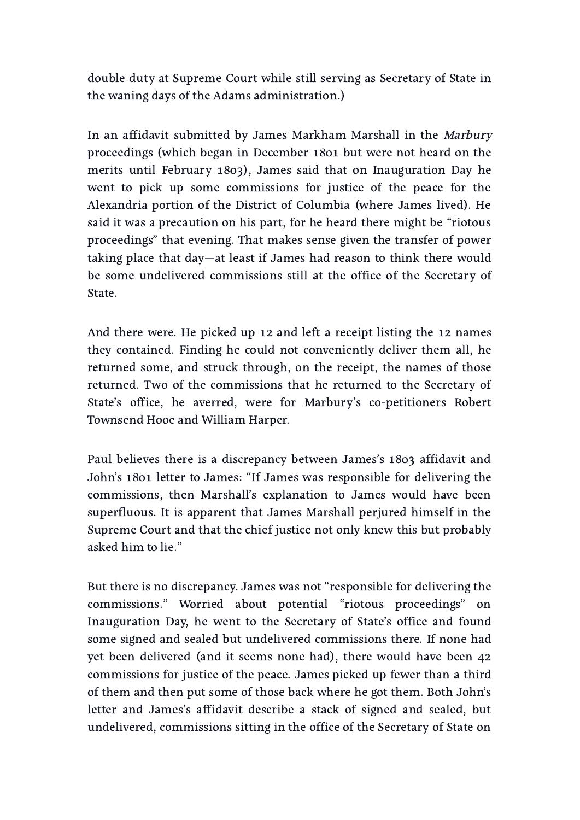double duty at Supreme Court while still serving as Secretary of State in the waning days of the Adams administration.)

In an affidavit submitted by James Markham Marshall in the Marbury proceedings (which began in December 1801 but were not heard on the merits until February 1803), James said that on Inauguration Day he went to pick up some commissions for justice of the peace for the Alexandria portion of the District of Columbia (where James lived). He said it was a precaution on his part, for he heard there might be "riotous proceedings" that evening. That makes sense given the transfer of power taking place that day—at least if James had reason to think there would be some undelivered commissions still at the office of the Secretary of State.

And there were. He picked up  $12$  and left a receipt listing the  $12$  names they contained. Finding he could not conveniently deliver them all, he returned some, and struck through, on the receipt, the names of those returned. Two of the commissions that he returned to the Secretary of State's office, he averred, were for Marbury's co-petitioners Robert Townsend Hooe and William Harper.

Paul believes there is a discrepancy between James's 1803 affidavit and John's 1801 letter to James: "If James was responsible for delivering the commissions, then Marshall's explanation to James would have been superfluous. It is apparent that James Marshall perjured himself in the Supreme Court and that the chief justice not only knew this but probably asked him to lie."

But there is no discrepancy. James was not "responsible for delivering the commissions." Worried about potential "riotous proceedings" on Inauguration Day, he went to the Secretary of State's office and found some signed and sealed but undelivered commissions there. If none had yet been delivered (and it seems none had), there would have been commissions for justice of the peace. James picked up fewer than a third of them and then put some of those back where he got them. Both John's letter and James's affidavit describe a stack of signed and sealed, but undelivered, commissions sitting in the office of the Secretary of State on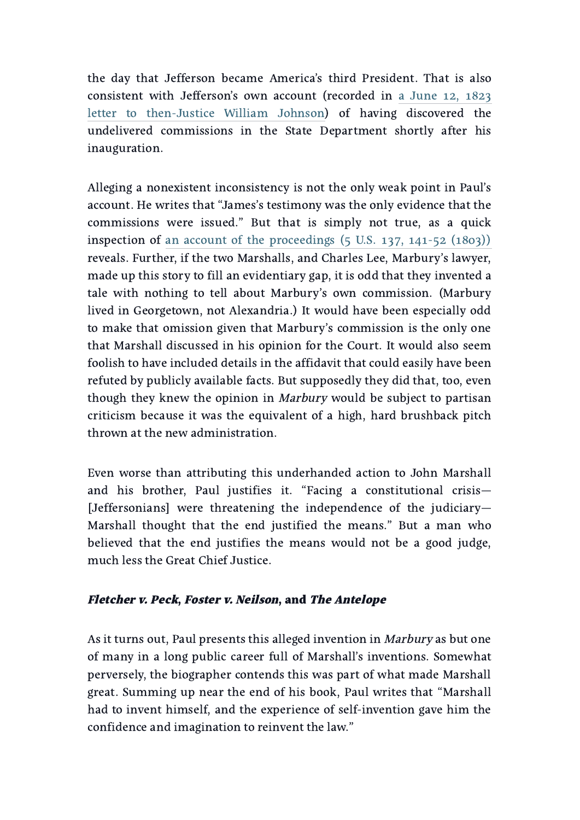the day that Jefferson became America's third President. That is also consistent with Jefferson's own account (recorded in a June 12, 1823 letter to [then-Justice](https://founders.archives.gov/documents/Jefferson/98-01-02-3562) William Johnson) of having discovered the undelivered commissions in the State Department shortly after his inauguration.

Alleging a nonexistent inconsistency is not the only weak point in Paul's account. He writes that "James's testimony was the only evidence that the commissions were issued." But that is simply not true, as a quick inspection of an account of the [proceedings](https://books.google.com/books?id=VTI3AAAAIAAJ&pg=PA90)  $(5 \text{ U.S. } 137, 141-52 \text{ (1803)})$ reveals. Further, if the two Marshalls, and Charles Lee, Marbury's lawyer, made up this story to fill an evidentiary gap, it is odd that they invented a tale with nothing to tell about Marbury's own commission. (Marbury lived in Georgetown, not Alexandria.) It would have been especially odd to make that omission given that Marbury's commission is the only one that Marshall discussed in his opinion for the Court. It would also seem foolish to have included details in the affidavit that could easily have been refuted by publicly available facts. But supposedly they did that, too, even though they knew the opinion in *Marbury* would be subject to partisan criticism because it was the equivalent of a high, hard brushback pitch thrown at the new administration.

Even worse than attributing this underhanded action to John Marshall and his brother, Paul justifies it. "Facing a constitutional crisis— [Jeffersonians] were threatening the independence of the judiciary— Marshall thought that the end justified the means." But a man who believed that the end justifies the means would not be a good judge, much less the Great Chief Justice.

### Fletcher v. Peck, Foster v. Neilson, and The Antelope

As it turns out, Paul presents this alleged invention in *Marbury* as but one of many in a long public career full of Marshall's inventions. Somewhat perversely, the biographer contends this was part of what made Marshall great. Summing up near the end of his book, Paul writes that "Marshall had to invent himself, and the experience of self-invention gave him the confidence and imagination to reinvent the law."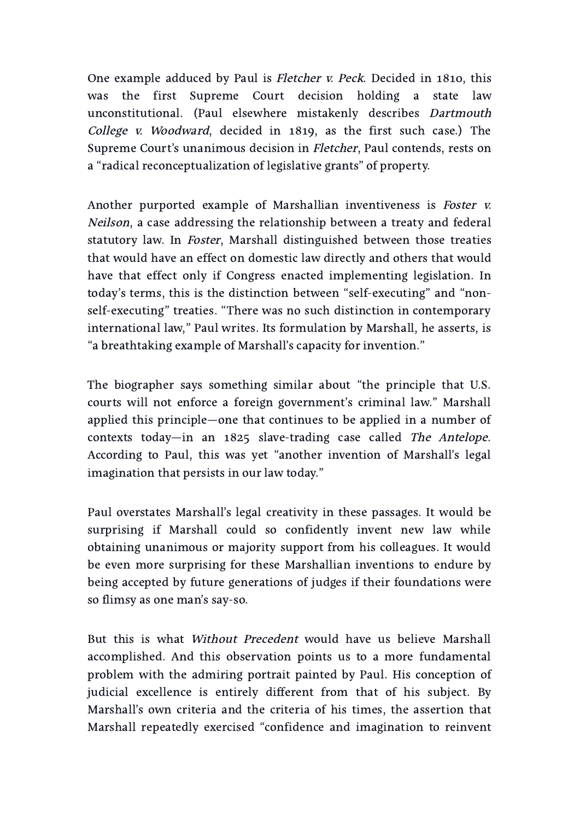One example adduced by Paul is *Fletcher v. Peck*. Decided in 1810, this was the first Supreme Court decision holding a state law unconstitutional. (Paul elsewhere mistakenly describes Dartmouth College v. Woodward, decided in 1819, as the first such case.) The Supreme Court's unanimous decision in Fletcher, Paul contends, rests on a "radical reconceptualization of legislative grants" of property.

Another purported example of Marshallian inventiveness is Foster v. Neilson, a case addressing the relationship between a treaty and federal statutory law. In *Foster*, Marshall distinguished between those treaties that would have an effect on domestic law directly and others that would have that effect only if Congress enacted implementing legislation. In today's terms, this is the distinction between "self-executing" and "nonself-executing" treaties. "There was no such distinction in contemporary international law," Paul writes. Its formulation by Marshall, he asserts, is "a breathtaking example of Marshall's capacity for invention."

The biographer says something similar about "the principle that U.S. courts will not enforce a foreign government's criminal law." Marshall applied this principle—one that continues to be applied in a number of contexts today—in an  $1825$  slave-trading case called The Antelope. According to Paul, this was yet "another invention of Marshall's legal imagination that persists in our law today."

Paul overstates Marshall's legal creativity in these passages. It would be surprising if Marshall could so confidently invent new law while obtaining unanimous or majority support from his colleagues. It would be even more surprising for these Marshallian inventions to endure by being accepted by future generations of judges if their foundations were so flimsy as one man's say-so.

But this is what Without Precedent would have us believe Marshall accomplished. And this observation points us to a more fundamental problem with the admiring portrait painted by Paul. His conception of judicial excellence is entirely different from that of his subject. By Marshall's own criteria and the criteria of his times, the assertion that Marshall repeatedly exercised "confidence and imagination to reinvent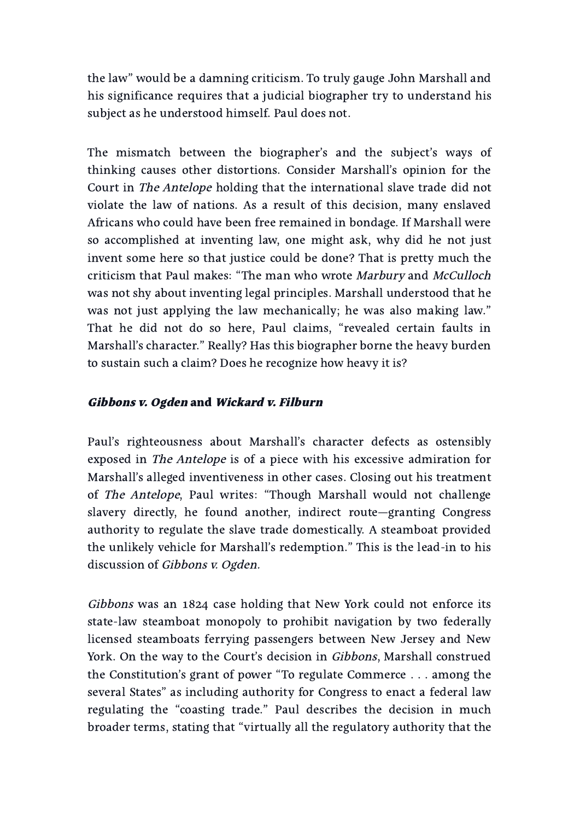the law" would be a damning criticism. To truly gauge John Marshall and his significance requires that a judicial biographer try to understand his subject as he understood himself. Paul does not.

The mismatch between the biographer's and the subject's ways of thinking causes other distortions. Consider Marshall's opinion for the Court in The Antelope holding that the international slave trade did not violate the law of nations. As a result of this decision, many enslaved Africans who could have been free remained in bondage. If Marshall were so accomplished at inventing law, one might ask, why did he not just invent some here so that justice could be done? That is pretty much the criticism that Paul makes: "The man who wrote Marbury and McCulloch was not shy about inventing legal principles. Marshall understood that he was not just applying the law mechanically; he was also making law." That he did not do so here, Paul claims, "revealed certain faults in Marshall's character." Really? Has this biographer borne the heavy burden to sustain such a claim? Does he recognize how heavy it is?

## Gibbons v. Ogden and Wickard v. Filburn

Paul's righteousness about Marshall's character defects as ostensibly exposed in The Antelope is of a piece with his excessive admiration for Marshall's alleged inventiveness in other cases. Closing out his treatment of The Antelope, Paul writes: "Though Marshall would not challenge slavery directly, he found another, indirect route—granting Congress authority to regulate the slave trade domestically. A steamboat provided the unlikely vehicle for Marshall's redemption." This is the lead-in to his discussion of Gibbons v. Ogden.

Gibbons was an 1824 case holding that New York could not enforce its state-law steamboat monopoly to prohibit navigation by two federally licensed steamboats ferrying passengers between New Jersey and New York. On the way to the Court's decision in Gibbons, Marshall construed the Constitution's grant of power "To regulate Commerce . . . among the several States" as including authority for Congress to enact a federal law regulating the "coasting trade." Paul describes the decision in much broader terms, stating that "virtually all the regulatory authority that the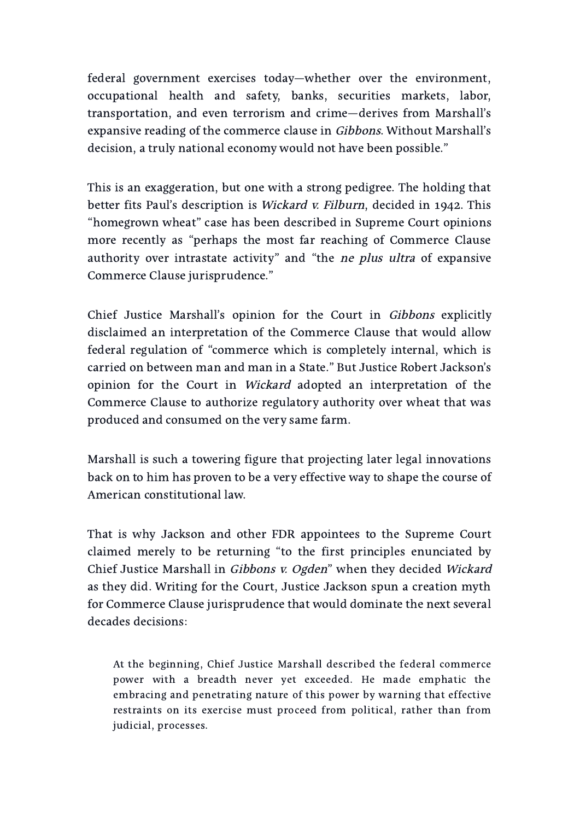federal government exercises today—whether over the environment, occupational health and safety, banks, securities markets, labor, transportation, and even terrorism and crime—derives from Marshall's expansive reading of the commerce clause in Gibbons. Without Marshall's decision, a truly national economy would not have been possible."

This is an exaggeration, but one with a strong pedigree. The holding that better fits Paul's description is Wickard v. Filburn, decided in 1942. This "homegrown wheat" case has been described in Supreme Court opinions more recently as "perhaps the most far reaching of Commerce Clause authority over intrastate activity" and "the ne plus ultra of expansive Commerce Clause jurisprudence."

Chief Justice Marshall's opinion for the Court in Gibbons explicitly disclaimed an interpretation of the Commerce Clause that would allow federal regulation of "commerce which is completely internal, which is carried on between man and man in a State." But Justice Robert Jackson's opinion for the Court in Wickard adopted an interpretation of the Commerce Clause to authorize regulatory authority over wheat that was produced and consumed on the very same farm.

Marshall is such a towering figure that projecting later legal innovations back on to him has proven to be a very effective way to shape the course of American constitutional law.

That is why Jackson and other FDR appointees to the Supreme Court claimed merely to be returning "to the first principles enunciated by Chief Justice Marshall in Gibbons v. Ogden" when they decided Wickard as they did. Writing for the Court, Justice Jackson spun a creation myth for Commerce Clause jurisprudence that would dominate the next several decades decisions:

At the beginning, Chief Justice Marshall described the federal commerce power with a breadth never yet exceeded. He made emphatic the embracing and penetrating nature of this power by warning that effective restraints on its exercise must proceed from political, rather than from judicial, processes.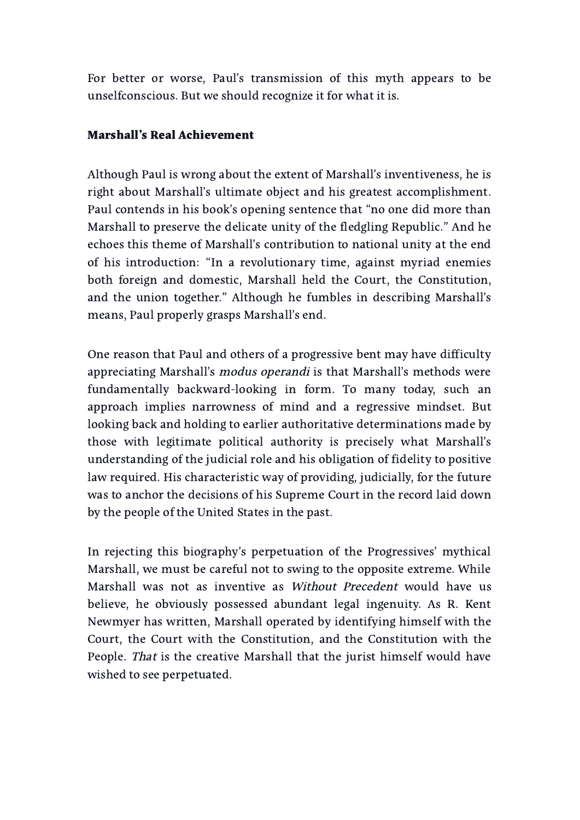For better or worse, Paul's transmission of this myth appears to be unselfconscious. But we should recognize it for what it is.

#### Marshall's Real Achievement

Although Paul is wrong about the extent of Marshall's inventiveness, he is right about Marshall's ultimate object and his greatest accomplishment. Paul contends in his book's opening sentence that "no one did more than Marshall to preserve the delicate unity of the fledgling Republic." And he echoes this theme of Marshall's contribution to national unity at the end of his introduction: "In a revolutionary time, against myriad enemies both foreign and domestic, Marshall held the Court, the Constitution, and the union together." Although he fumbles in describing Marshall's means, Paul properly grasps Marshall's end.

One reason that Paul and others of a progressive bent may have difficulty appreciating Marshall's modus operandi is that Marshall's methods were fundamentally backward-looking in form. To many today, such an approach implies narrowness of mind and a regressive mindset. But looking back and holding to earlier authoritative determinations made by those with legitimate political authority is precisely what Marshall's understanding of the judicial role and his obligation of fidelity to positive law required. His characteristic way of providing, judicially, for the future was to anchor the decisions of his Supreme Court in the record laid down by the people of the United States in the past.

In rejecting this biography's perpetuation of the Progressives' mythical Marshall, we must be careful not to swing to the opposite extreme. While Marshall was not as inventive as Without Precedent would have us believe, he obviously possessed abundant legal ingenuity. As R. Kent Newmyer has written, Marshall operated by identifying himself with the Court, the Court with the Constitution, and the Constitution with the People. That is the creative Marshall that the jurist himself would have wished to see perpetuated.